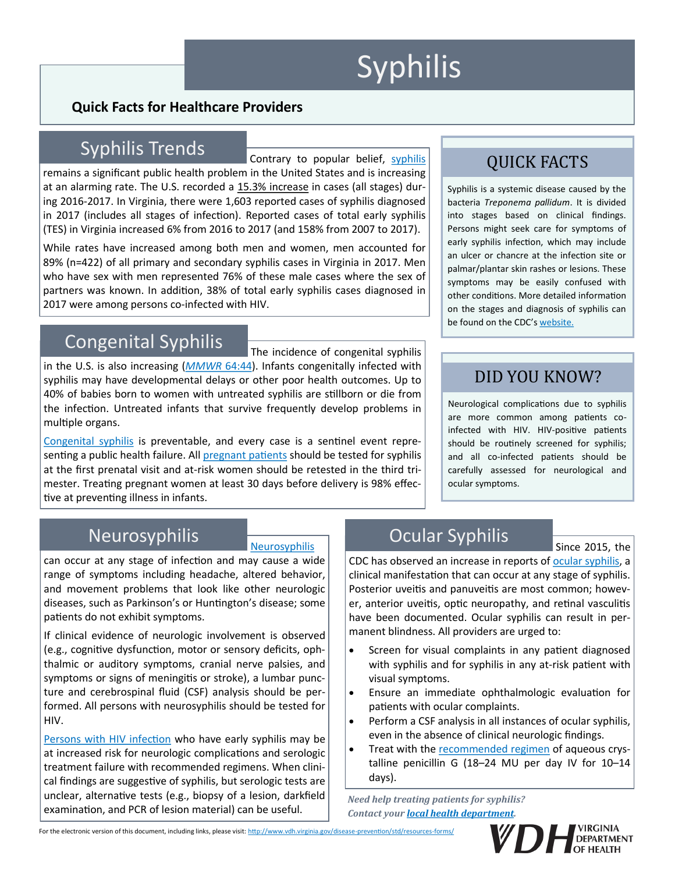# **Syphilis**

#### **Quick Facts for Healthcare Providers**

# Syphilis Trends

Contrary to popular belief, [syphilis](http://www.cdc.gov/std/tg2015/syphilis.htm) remains a significant public health problem in the United States and is increasing at an alarming rate. The U.S. recorded a [15.3% increase](http://www.cdc.gov/std/stats14/std-trends-508.pdf) in cases (all stages) during 2016-2017. In Virginia, there were 1,603 reported cases of syphilis diagnosed in 2017 (includes all stages of infection). Reported cases of total early syphilis (TES) in Virginia increased 6% from 2016 to 2017 (and 158% from 2007 to 2017).

While rates have increased among both men and women, men accounted for 89% (n=422) of all primary and secondary syphilis cases in Virginia in 2017. Men who have sex with men represented 76% of these male cases where the sex of partners was known. In addition, 38% of total early syphilis cases diagnosed in 2017 were among persons co-infected with HIV.

# Congenital Syphilis

The incidence of congenital syphilis in the U.S. is also increasing (*[MMWR](http://www.cdc.gov/mmwr/preview/mmwrhtml/mm6444a3.htm)* 64:44). Infants congenitally infected with syphilis may have developmental delays or other poor health outcomes. Up to 40% of babies born to women with untreated syphilis are stillborn or die from the infection. Untreated infants that survive frequently develop problems in multiple organs.

[Congenital syphilis](http://www.cdc.gov/std/tg2015/congenital.htm) is preventable, and every case is a sentinel event representing a public health failure. All [pregnant patients](http://www.cdc.gov/std/pregnancy/stdfact-pregnancy.htm) should be tested for syphilis at the first prenatal visit and at-risk women should be retested in the third trimester. Treating pregnant women at least 30 days before delivery is 98% effective at preventing illness in infants.

# QUICK FACTS

Syphilis is a systemic disease caused by the bacteria *Treponema pallidum*. It is divided into stages based on clinical findings. Persons might seek care for symptoms of early syphilis infection, which may include an ulcer or chancre at the infection site or palmar/plantar skin rashes or lesions. These symptoms may be easily confused with other conditions. More detailed information on the stages and diagnosis of syphilis can be found on the CDC's [website.](http://www.cdc.gov/std/tg2015/syphilis.htm)

#### DID YOU KNOW?

Neurological complications due to syphilis are more common among patients coinfected with HIV. HIV-positive patients should be routinely screened for syphilis; and all co-infected patients should be carefully assessed for neurological and ocular symptoms.

Since 2015, the

#### [Neurosyphilis](http://www.cdc.gov/std/tg2015/syphilis.htm#Neurosyphilis)

can occur at any stage of infection and may cause a wide range of symptoms including headache, altered behavior, and movement problems that look like other neurologic diseases, such as Parkinson's or Huntington's disease; some patients do not exhibit symptoms.

If clinical evidence of neurologic involvement is observed (e.g., cognitive dysfunction, motor or sensory deficits, ophthalmic or auditory symptoms, cranial nerve palsies, and symptoms or signs of meningitis or stroke), a lumbar puncture and cerebrospinal fluid (CSF) analysis should be performed. All persons with neurosyphilis should be tested for HIV.

[Persons with HIV infection](http://www.cdc.gov/std/tg2015/syphilis.htm#syph-hiv) who have early syphilis may be at increased risk for neurologic complications and serologic treatment failure with recommended regimens. When clinical findings are suggestive of syphilis, but serologic tests are unclear, alternative tests (e.g., biopsy of a lesion, darkfield examination, and PCR of lesion material) can be useful.

# Neurosyphilis **Neurosyphilis** Ocular Syphilis

CDC has observed an increase in reports of [ocular syphilis,](http://www.cdc.gov/std/syphilis/clinicaladvisoryos2015.htm) a clinical manifestation that can occur at any stage of syphilis. Posterior uveitis and panuveitis are most common; however, anterior uveitis, optic neuropathy, and retinal vasculitis have been documented. Ocular syphilis can result in permanent blindness. All providers are urged to:

- Screen for visual complaints in any patient diagnosed with syphilis and for syphilis in any at-risk patient with visual symptoms.
- Ensure an immediate ophthalmologic evaluation for patients with ocular complaints.
- Perform a CSF analysis in all instances of ocular syphilis, even in the absence of clinical neurologic findings.
- Treat with the [recommended regimen](http://www.cdc.gov/std/tg2015/syphilis.htm) of aqueous crystalline penicillin G (18–24 MU per day IV for 10–14 days).

*Need help treating patients for syphilis? Contact your [local health department.](http://www.vdh.virginia.gov/health-department-locator/)*

For the electronic version of this document, including links, please visit: [http://www.vdh.virginia.gov/disease](http://www.vdh.virginia.gov/disease-prevention/std/resources-forms/)-prevention/std/resources-forms/

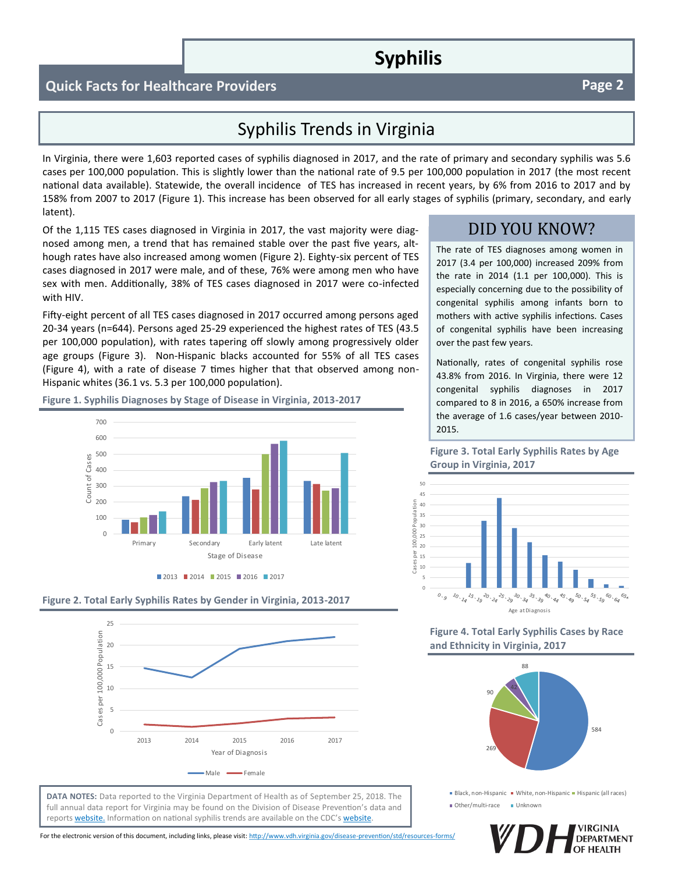### **Syphilis**

#### **Quick Facts for Healthcare Providers Page 2 Page 2**

#### Syphilis Trends in Virginia

In Virginia, there were 1,603 reported cases of syphilis diagnosed in 2017, and the rate of primary and secondary syphilis was 5.6 cases per 100,000 population. This is slightly lower than the national rate of 9.5 per 100,000 population in 2017 (the most recent national data available). Statewide, the overall incidence of TES has increased in recent years, by 6% from 2016 to 2017 and by 158% from 2007 to 2017 (Figure 1). This increase has been observed for all early stages of syphilis (primary, secondary, and early latent).

Of the 1,115 TES cases diagnosed in Virginia in 2017, the vast majority were diagnosed among men, a trend that has remained stable over the past five years, although rates have also increased among women (Figure 2). Eighty-six percent of TES cases diagnosed in 2017 were male, and of these, 76% were among men who have sex with men. Additionally, 38% of TES cases diagnosed in 2017 were co-infected with HIV.

Fifty-eight percent of all TES cases diagnosed in 2017 occurred among persons aged 20-34 years (n=644). Persons aged 25-29 experienced the highest rates of TES (43.5 per 100,000 population), with rates tapering off slowly among progressively older age groups (Figure 3). Non-Hispanic blacks accounted for 55% of all TES cases (Figure 4), with a rate of disease 7 times higher that that observed among non-Hispanic whites (36.1 vs. 5.3 per 100,000 population).

# **Figure 1. Syphilis Diagnoses by Stage of Disease in Virginia, 2013-2017**







**DATA NOTES:** Data reported to the Virginia Department of Health as of September 25, 2018. The full annual data report for Virginia may be found on the Division of Disease Prevention's data and reports [website.](http://www.vdh.virginia.gov/disease-prevention/std-annual-reports/) Information on national syphilis trends are available on the CDC's [website.](https://www.cdc.gov/std/stats17/default.htm)

For the electronic version of this document, including links, please visit: [http://www.vdh.virginia.gov/disease](http://www.vdh.virginia.gov/disease-prevention/std/resources-forms/)-prevention/std/resources-forms/

#### DID YOU KNOW?

The rate of TES diagnoses among women in 2017 (3.4 per 100,000) increased 209% from the rate in 2014 (1.1 per 100,000). This is especially concerning due to the possibility of congenital syphilis among infants born to mothers with active syphilis infections. Cases of congenital syphilis have been increasing over the past few years.

Nationally, rates of congenital syphilis rose 43.8% from 2016. In Virginia, there were 12 congenital syphilis diagnoses in 2017 compared to 8 in 2016, a 650% increase from the average of 1.6 cases/year between 2010- 2015.

**Figure 3. Total Early Syphilis Rates by Age Group in Virginia, 2017**



#### **Figure 4. Total Early Syphilis Cases by Race and Ethnicity in Virginia, 2017**



Black, non-Hispanic White, non-Hispanic Hispanic (all races) Other/multi-race Unknown